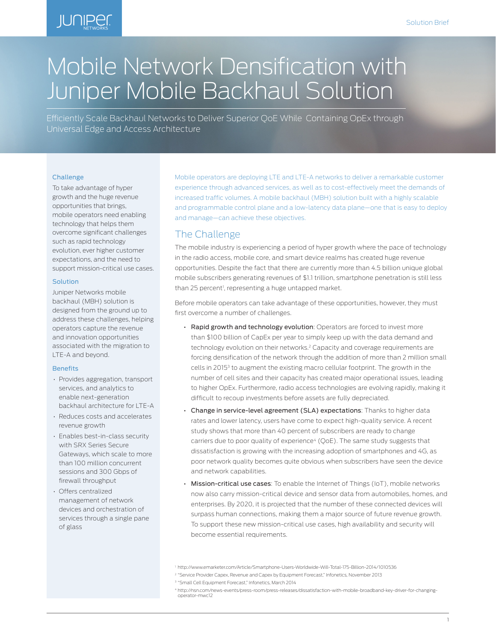## **JUNIPEr**

# Mobile Network Densification with Juniper Mobile Backhaul Solution

Efficiently Scale Backhaul Networks to Deliver Superior QoE While Containing OpEx through Universal Edge and Access Architecture

#### Challenge

To take advantage of hyper growth and the huge revenue opportunities that brings, mobile operators need enabling technology that helps them overcome significant challenges such as rapid technology evolution, ever higher customer expectations, and the need to support mission-critical use cases.

#### Solution

Juniper Networks mobile backhaul (MBH) solution is designed from the ground up to address these challenges, helping operators capture the revenue and innovation opportunities associated with the migration to LTE-A and beyond.

#### **Benefits**

- Provides aggregation, transport services, and analytics to enable next-generation backhaul architecture for LTE-A
- Reduces costs and accelerates revenue growth
- Enables best-in-class security with SRX Series Secure Gateways, which scale to more than 100 million concurrent sessions and 300 Gbps of firewall throughput
- Offers centralized management of network devices and orchestration of services through a single pane of glass

Mobile operators are deploying LTE and LTE-A networks to deliver a remarkable customer experience through advanced services, as well as to cost-effectively meet the demands of increased traffic volumes. A mobile backhaul (MBH) solution built with a highly scalable and programmable control plane and a low-latency data plane—one that is easy to deploy and manage—can achieve these objectives.

## The Challenge

The mobile industry is experiencing a period of hyper growth where the pace of technology in the radio access, mobile core, and smart device realms has created huge revenue opportunities. Despite the fact that there are currently more than 4.5 billion unique global mobile subscribers generating revenues of \$1.1 trillion, smartphone penetration is still less than 25 percent<sup>1</sup>, representing a huge untapped market.

Before mobile operators can take advantage of these opportunities, however, they must first overcome a number of challenges.

- Rapid growth and technology evolution: Operators are forced to invest more than \$100 billion of CapEx per year to simply keep up with the data demand and technology evolution on their networks.<sup>2</sup> Capacity and coverage requirements are forcing densification of the network through the addition of more than 2 million small cells in 2015<sup>3</sup> to augment the existing macro cellular footprint. The growth in the number of cell sites and their capacity has created major operational issues, leading to higher OpEx. Furthermore, radio access technologies are evolving rapidly, making it difficult to recoup investments before assets are fully depreciated.
- Change in service-level agreement (SLA) expectations: Thanks to higher data rates and lower latency, users have come to expect high-quality service. A recent study shows that more than 40 percent of subscribers are ready to change carriers due to poor quality of experience<sup>4</sup> (QoE). The same study suggests that dissatisfaction is growing with the increasing adoption of smartphones and 4G, as poor network quality becomes quite obvious when subscribers have seen the device and network capabilities.
- Mission-critical use cases: To enable the Internet of Things (IoT), mobile networks now also carry mission-critical device and sensor data from automobiles, homes, and enterprises. By 2020, it is projected that the number of these connected devices will surpass human connections, making them a major source of future revenue growth. To support these new mission-critical use cases, high availability and security will become essential requirements.

<sup>2</sup> "Service Provider Capex, Revenue and Capex by Equipment Forecast," Infonetics, November 2013

<sup>1</sup> http://www.emarketer.com/Article/Smartphone-Users-Worldwide-Will-Total-175-Billion-2014/1010536

<sup>&</sup>lt;sup>3</sup> "Small Cell Equipment Forecast," Infonetics, March 2014

<sup>4</sup> http://nsn.com/news-events/press-room/press-releases/dissatisfaction-with-mobile-broadband-key-driver-for-changingoperator-mwc12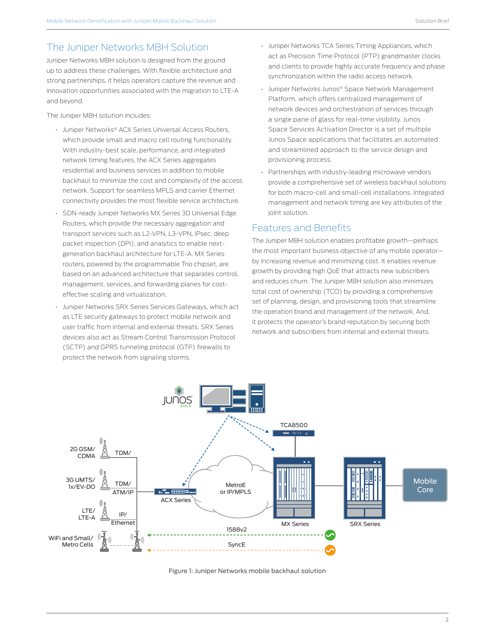## The Juniper Networks MBH Solution

Juniper Networks MBH solution is designed from the ground up to address these challenges. With flexible architecture and strong partnerships, it helps operators capture the revenue and innovation opportunities associated with the migration to LTE-A and beyond.

The Juniper MBH solution includes:

- Juniper Networks® ACX Series Universal Access Routers, which provide small and macro cell routing functionality. With industry-best scale, performance, and integrated network timing features, the ACX Series aggregates residential and business services in addition to mobile backhaul to minimize the cost and complexity of the access network. Support for seamless MPLS and carrier Ethernet connectivity provides the most flexible service architecture.
- SDN-ready Juniper Networks MX Series 3D Universal Edge Routers, which provide the necessary aggregation and transport services such as L2-VPN, L3-VPN, IPsec, deep packet inspection (DPI), and analytics to enable nextgeneration backhaul architecture for LTE-A. MX Series routers, powered by the programmable Trio chipset, are based on an advanced architecture that separates control, management, services, and forwarding planes for costeffective scaling and virtualization.
- Juniper Networks SRX Series Services Gateways, which act as LTE security gateways to protect mobile network and user traffic from internal and external threats. SRX Series devices also act as Stream Control Transmission Protocol (SCTP) and GPRS tunneling protocol (GTP) firewalls to protect the network from signaling storms.
- Juniper Networks TCA Series Timing Appliances, which act as Precision Time Protocol (PTP) grandmaster clocks and clients to provide highly accurate frequency and phase synchronization within the radio access network.
- Juniper Networks Junos® Space Network Management Platform, which offers centralized management of network devices and orchestration of services through a single pane of glass for real-time visibility. Junos Space Services Activation Director is a set of multiple Junos Space applications that facilitates an automated and streamlined approach to the service design and provisioning process.
- Partnerships with industry-leading microwave vendors provide a comprehensive set of wireless backhaul solutions for both macro-cell and small-cell installations. Integrated management and network timing are key attributes of the joint solution.

## Features and Benefits

The Juniper MBH solution enables profitable growth—perhaps the most important business objective of any mobile operator by increasing revenue and minimizing cost. It enables revenue growth by providing high QoE that attracts new subscribers and reduces churn. The Juniper MBH solution also minimizes total cost of ownership (TCO) by providing a comprehensive set of planning, design, and provisioning tools that streamline the operation brand and management of the network. And, it protects the operator's brand reputation by securing both network and subscribers from internal and external threats.



Figure 1: Juniper Networks mobile backhaul solution